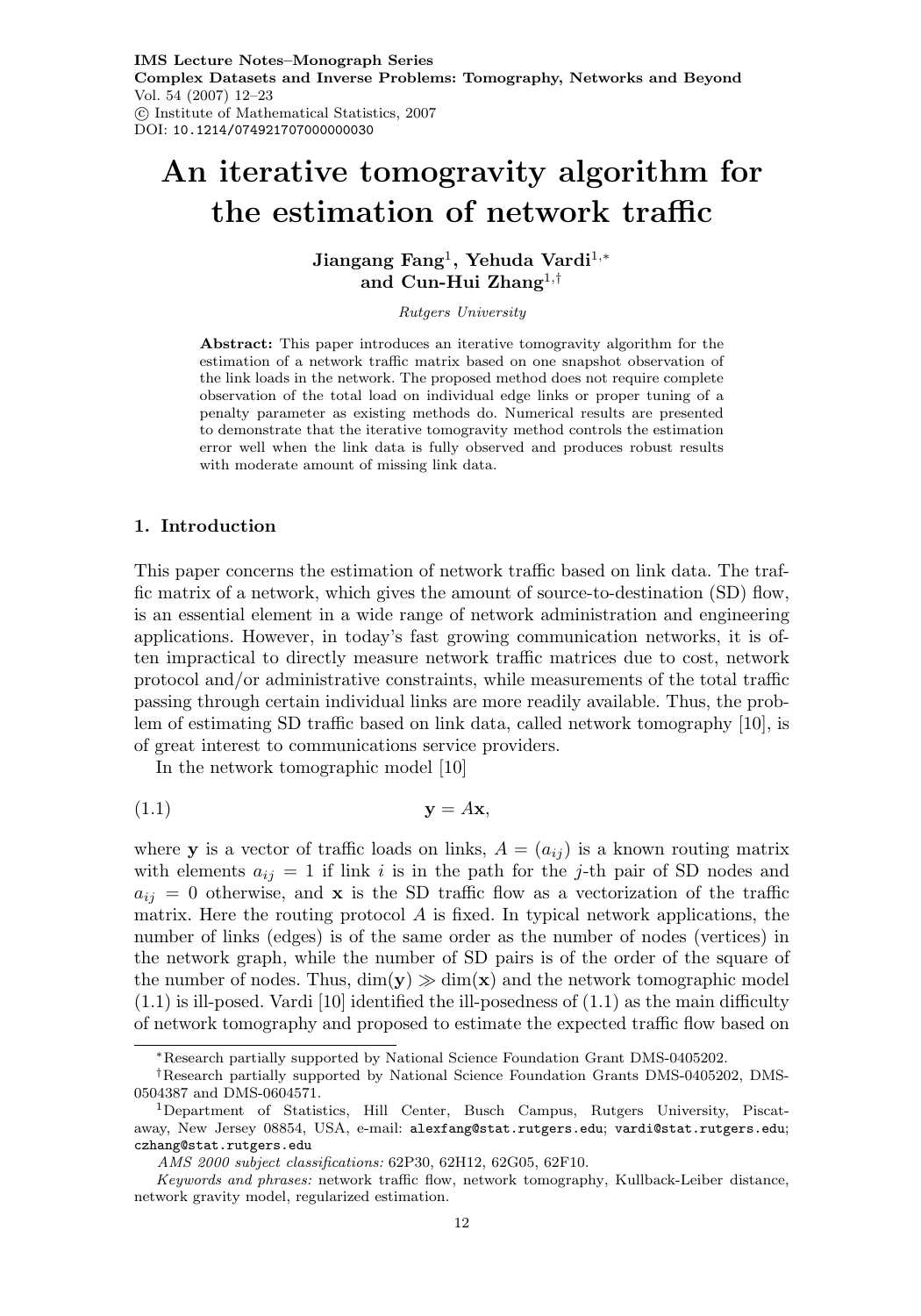# **An iterative tomogravity algorithm for the estimation of network traffic**

**Jiangang Fang**<sup>1</sup>**, Yehuda Vardi**<sup>1</sup>,<sup>∗</sup> **and Cun-Hui Zhang**<sup>1</sup>,†

Rutgers University

**Abstract:** This paper introduces an iterative tomogravity algorithm for the estimation of a network traffic matrix based on one snapshot observation of the link loads in the network. The proposed method does not require complete observation of the total load on individual edge links or proper tuning of a penalty parameter as existing methods do. Numerical results are presented to demonstrate that the iterative tomogravity method controls the estimation error well when the link data is fully observed and produces robust results with moderate amount of missing link data.

#### **1. Introduction**

This paper concerns the estimation of network traffic based on link data. The traffic matrix of a network, which gives the amount of source-to-destination (SD) flow, is an essential element in a wide range of network administration and engineering applications. However, in today's fast growing communication networks, it is often impractical to directly measure network traffic matrices due to cost, network protocol and/or administrative constraints, while measurements of the total traffic passing through certain individual links are more readily available. Thus, the problem of estimating SD traffic based on link data, called network tomography [10], is of great interest to communications service providers.

In the network tomographic model [10]

$$
y = Ax,
$$

where **y** is a vector of traffic loads on links,  $A = (a_{ij})$  is a known routing matrix with elements  $a_{ij} = 1$  if link i is in the path for the j-th pair of SD nodes and  $a_{ij} = 0$  otherwise, and **x** is the SD traffic flow as a vectorization of the traffic matrix. Here the routing protocol  $A$  is fixed. In typical network applications, the number of links (edges) is of the same order as the number of nodes (vertices) in the network graph, while the number of SD pairs is of the order of the square of the number of nodes. Thus,  $dim(y) \gg dim(x)$  and the network tomographic model  $(1.1)$  is ill-posed. Vardi [10] identified the ill-posedness of  $(1.1)$  as the main difficulty of network tomography and proposed to estimate the expected traffic flow based on

<sup>∗</sup>Research partially supported by National Science Foundation Grant DMS-0405202.

<sup>†</sup>Research partially supported by National Science Foundation Grants DMS-0405202, DMS-0504387 and DMS-0604571.

<sup>1</sup>Department of Statistics, Hill Center, Busch Campus, Rutgers University, Piscataway, New Jersey 08854, USA, e-mail: alexfang@stat.rutgers.edu; vardi@stat.rutgers.edu; czhang@stat.rutgers.edu

AMS 2000 subject classifications: 62P30, 62H12, 62G05, 62F10.

Keywords and phrases: network traffic flow, network tomography, Kullback-Leiber distance, network gravity model, regularized estimation.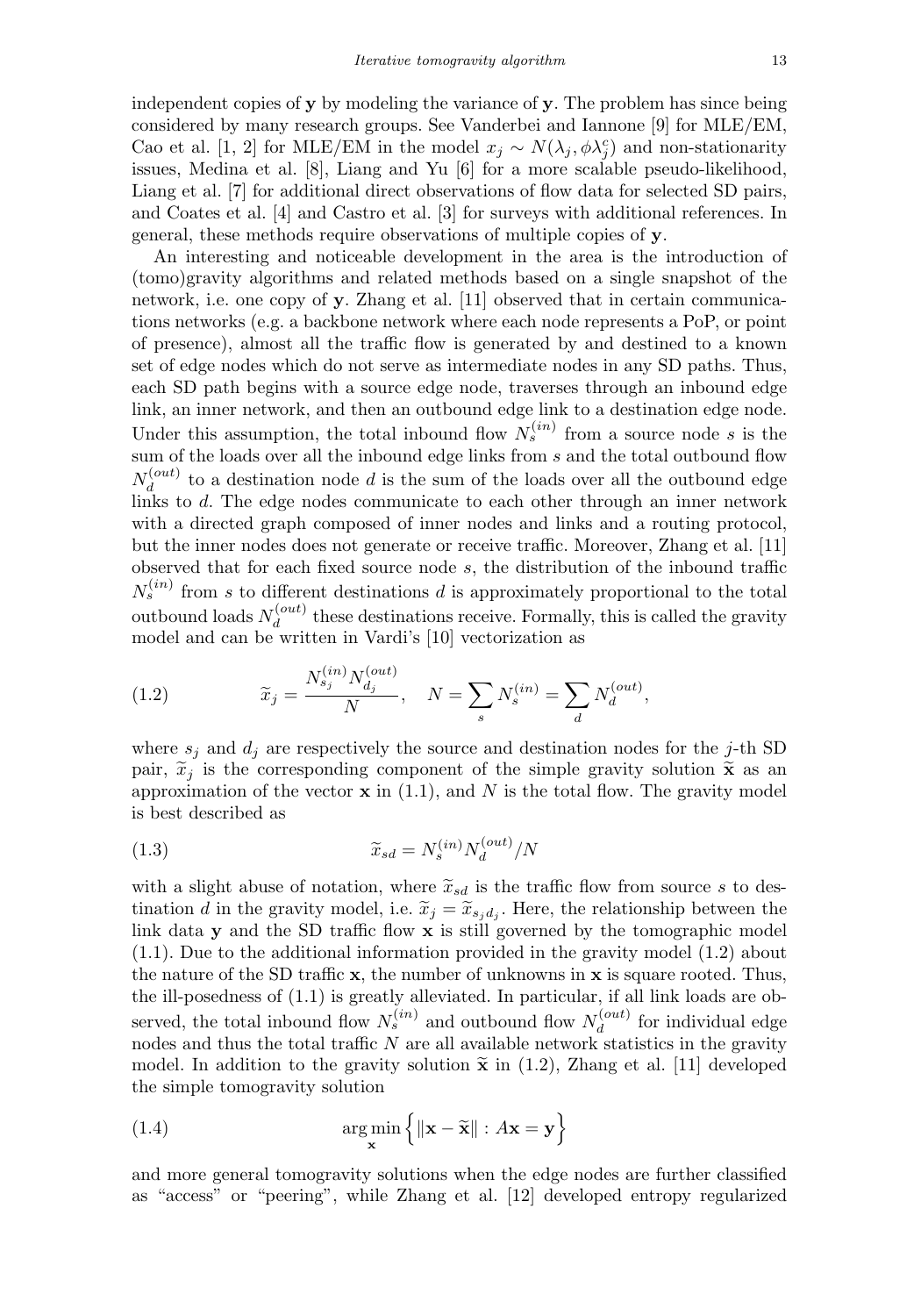independent copies of **y** by modeling the variance of **y**. The problem has since being considered by many research groups. See Vanderbei and Iannone [9] for MLE/EM, Cao et al. [1, 2] for MLE/EM in the model  $x_j \sim N(\lambda_j, \phi \lambda_j^c)$  and non-stationarity issues, Medina et al. [8], Liang and Yu [6] for a more scalable pseudo-likelihood, Liang et al. [7] for additional direct observations of flow data for selected SD pairs, and Coates et al. [4] and Castro et al. [3] for surveys with additional references. In general, these methods require observations of multiple copies of **y**.

An interesting and noticeable development in the area is the introduction of (tomo)gravity algorithms and related methods based on a single snapshot of the network, i.e. one copy of **y**. Zhang et al. [11] observed that in certain communications networks (e.g. a backbone network where each node represents a PoP, or point of presence), almost all the traffic flow is generated by and destined to a known set of edge nodes which do not serve as intermediate nodes in any SD paths. Thus, each SD path begins with a source edge node, traverses through an inbound edge link, an inner network, and then an outbound edge link to a destination edge node. Under this assumption, the total inbound flow  $N_s^{(in)}$  from a source node s is the sum of the loads over all the inbound edge links from s and the total outbound flow  $N_d^{(out)}$  to a destination node d is the sum of the loads over all the outbound edge links to d. The edge nodes communicate to each other through an inner network with a directed graph composed of inner nodes and links and a routing protocol, but the inner nodes does not generate or receive traffic. Moreover, Zhang et al. [11] observed that for each fixed source node s, the distribution of the inbound traffic  $N_s^{(in)}$  from s to different destinations d is approximately proportional to the total outbound loads  $N_d^{(out)}$  these destinations receive. Formally, this is called the gravity model and can be written in Vardi's [10] vectorization as

(1.2) 
$$
\widetilde{x}_j = \frac{N_{s_j}^{(in)} N_{d_j}^{(out)}}{N}, \quad N = \sum_s N_s^{(in)} = \sum_d N_d^{(out)},
$$

where  $s_j$  and  $d_j$  are respectively the source and destination nodes for the j-th SD pair,  $\tilde{x}_j$  is the corresponding component of the simple gravity solution  $\tilde{x}$  as an approximation of the vector  $\mathbf x$  in (1.1), and N is the total flow. The gravity model is best described as

(1.3) 
$$
\widetilde{x}_{sd} = N_s^{(in)} N_d^{(out)}/N
$$

with a slight abuse of notation, where  $\widetilde{x}_{sd}$  is the traffic flow from source s to destination d in the gravity model, i.e.  $\tilde{x}_j = \tilde{x}_{s_i d_j}$ . Here, the relationship between the link data **y** and the SD traffic flow **x** is still governed by the tomographic model (1.1). Due to the additional information provided in the gravity model (1.2) about the nature of the SD traffic **x**, the number of unknowns in **x** is square rooted. Thus, the ill-posedness of (1.1) is greatly alleviated. In particular, if all link loads are observed, the total inbound flow  $N_s^{(in)}$  and outbound flow  $N_d^{(out)}$  for individual edge nodes and thus the total traffic  $N$  are all available network statistics in the gravity model. In addition to the gravity solution  $\tilde{\mathbf{x}}$  in (1.2), Zhang et al. [11] developed the simple tomogravity solution

(1.4) 
$$
\arg\min_{\mathbf{x}} \left\{ \|\mathbf{x} - \widetilde{\mathbf{x}}\| : A\mathbf{x} = \mathbf{y} \right\}
$$

and more general tomogravity solutions when the edge nodes are further classified as "access" or "peering", while Zhang et al. [12] developed entropy regularized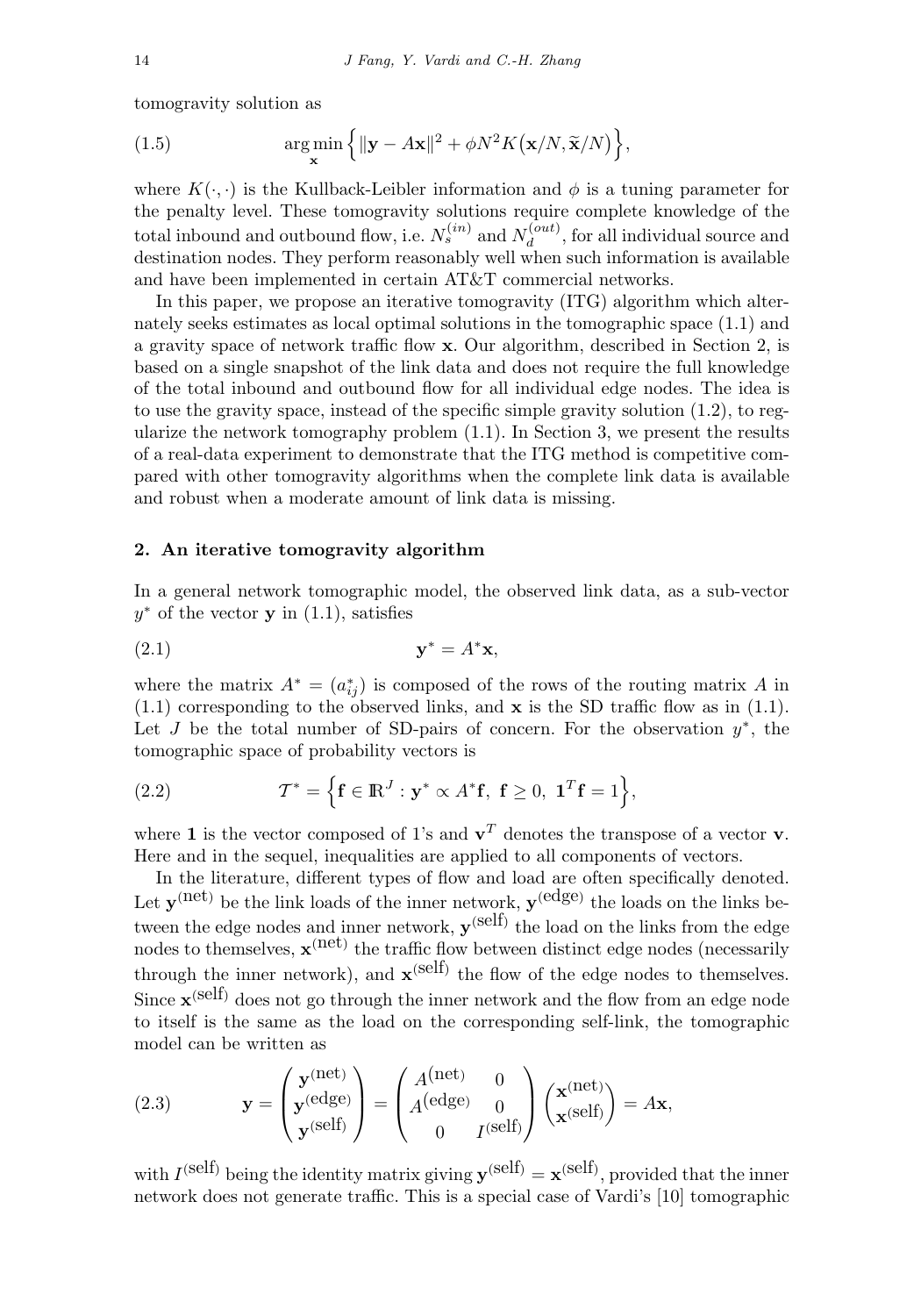tomogravity solution as

(1.5) 
$$
\argmin_{\mathbf{x}} \left\{ ||\mathbf{y} - A\mathbf{x}||^2 + \phi N^2 K(\mathbf{x}/N, \tilde{\mathbf{x}}/N) \right\},
$$

where  $K(\cdot, \cdot)$  is the Kullback-Leibler information and  $\phi$  is a tuning parameter for the penalty level. These tomogravity solutions require complete knowledge of the total inbound and outbound flow, i.e.  $N_s^{(in)}$  and  $N_d^{(out)}$ , for all individual source and destination nodes. They perform reasonably well when such information is available and have been implemented in certain AT&T commercial networks.

In this paper, we propose an iterative tomogravity (ITG) algorithm which alternately seeks estimates as local optimal solutions in the tomographic space (1.1) and a gravity space of network traffic flow **x**. Our algorithm, described in Section 2, is based on a single snapshot of the link data and does not require the full knowledge of the total inbound and outbound flow for all individual edge nodes. The idea is to use the gravity space, instead of the specific simple gravity solution (1.2), to regularize the network tomography problem  $(1.1)$ . In Section 3, we present the results of a real-data experiment to demonstrate that the ITG method is competitive compared with other tomogravity algorithms when the complete link data is available and robust when a moderate amount of link data is missing.

## **2. An iterative tomogravity algorithm**

In a general network tomographic model, the observed link data, as a sub-vector  $y^*$  of the vector **y** in  $(1.1)$ , satisfies

$$
\mathbf{y}^* = A^* \mathbf{x},
$$

where the matrix  $A^* = (a_{ij}^*)$  is composed of the rows of the routing matrix A in (1.1) corresponding to the observed links, and **x** is the SD traffic flow as in (1.1). Let J be the total number of SD-pairs of concern. For the observation  $y^*$ , the tomographic space of probability vectors is

(2.2) 
$$
\mathcal{T}^* = \Big\{ \mathbf{f} \in \mathbb{R}^J : \mathbf{y}^* \propto A^* \mathbf{f}, \ \mathbf{f} \geq 0, \ \mathbf{1}^T \mathbf{f} = 1 \Big\},
$$

where **1** is the vector composed of 1's and  $\mathbf{v}^T$  denotes the transpose of a vector **v**. Here and in the sequel, inequalities are applied to all components of vectors.

In the literature, different types of flow and load are often specifically denoted. Let  $\mathbf{y}^{(\text{net})}$  be the link loads of the inner network,  $\mathbf{y}^{(\text{edge})}$  the loads on the links between the edge nodes and inner network,  $\mathbf{v}^{\text{(self)}}$  the load on the links from the edge nodes to themselves,  $\mathbf{x}^{(net)}$  the traffic flow between distinct edge nodes (necessarily through the inner network), and  $\mathbf{x}^{(self)}$  the flow of the edge nodes to themselves. Since  $\mathbf{x}^{\text{(self)}}$  does not go through the inner network and the flow from an edge node to itself is the same as the load on the corresponding self-link, the tomographic model can be written as

(2.3) 
$$
\mathbf{y} = \begin{pmatrix} \mathbf{y}^{(\text{net})} \\ \mathbf{y}^{(\text{edge})} \\ \mathbf{y}^{(\text{self})} \end{pmatrix} = \begin{pmatrix} A^{(\text{net})} & 0 \\ A^{(\text{edge})} & 0 \\ 0 & I^{(\text{self})} \end{pmatrix} \begin{pmatrix} \mathbf{x}^{(\text{net})} \\ \mathbf{x}^{(\text{self})} \end{pmatrix} = A\mathbf{x},
$$

with  $I^{(self)}$  being the identity matrix giving  $\mathbf{y}^{(self)} = \mathbf{x}^{(self)}$ , provided that the inner network does not generate traffic. This is a special case of Vardi's [10] tomographic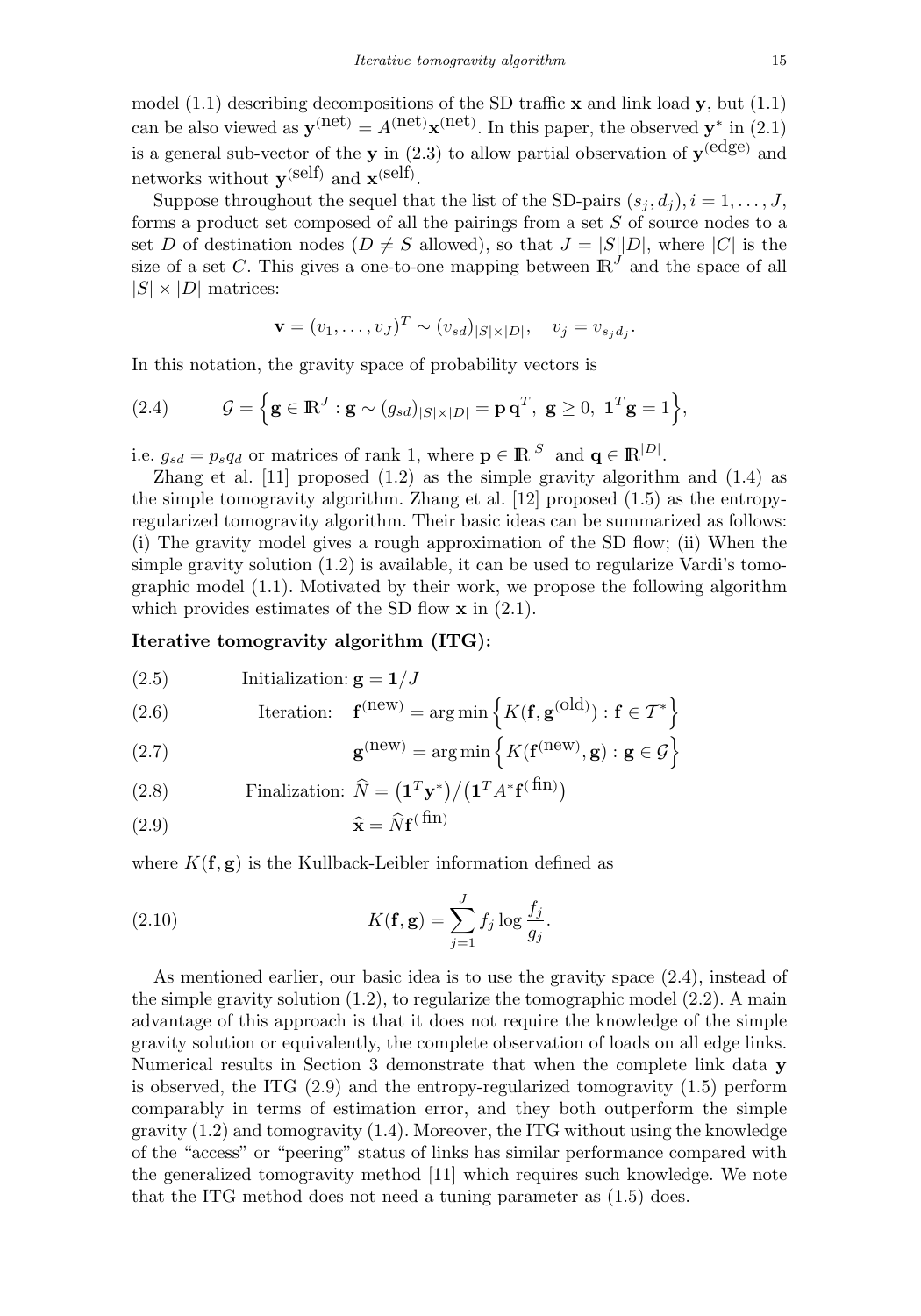model (1.1) describing decompositions of the SD traffic **x** and link load **y**, but (1.1) can be also viewed as  $\mathbf{y}^{(\text{net})} = A^{(\text{net})} \mathbf{x}^{(\text{net})}$ . In this paper, the observed  $\mathbf{y}^*$  in (2.1) is a general sub-vector of the **y** in  $(2.3)$  to allow partial observation of  $y^{(edge)}$  and networks without  $\mathbf{y}^{(\text{self})}$  and  $\mathbf{x}^{(\text{self})}$ .

Suppose throughout the sequel that the list of the SD-pairs  $(s_j, d_j), i = 1, \ldots, J$ , forms a product set composed of all the pairings from a set  $S$  of source nodes to a set D of destination nodes  $(D \neq S$  allowed), so that  $J = |S||D|$ , where  $|C|$  is the size of a set C. This gives a one-to-one mapping between  $\mathbb{R}^{J}$  and the space of all  $|S| \times |D|$  matrices:

$$
\mathbf{v} = (v_1, \dots, v_J)^T \sim (v_{sd})_{|S| \times |D|}, \quad v_j = v_{s_j d_j}.
$$

In this notation, the gravity space of probability vectors is

(2.4) 
$$
\mathcal{G} = \left\{ \mathbf{g} \in \mathbb{R}^J : \mathbf{g} \sim (g_{sd})_{|S| \times |D|} = \mathbf{p} \mathbf{q}^T, \ \mathbf{g} \ge 0, \ \mathbf{1}^T \mathbf{g} = 1 \right\},
$$

i.e.  $g_{sd} = p_s q_d$  or matrices of rank 1, where  $\mathbf{p} \in \mathbb{R}^{|S|}$  and  $\mathbf{q} \in \mathbb{R}^{|D|}$ .

Zhang et al.  $[11]$  proposed  $(1.2)$  as the simple gravity algorithm and  $(1.4)$  as the simple tomogravity algorithm. Zhang et al. [12] proposed (1.5) as the entropyregularized tomogravity algorithm. Their basic ideas can be summarized as follows: (i) The gravity model gives a rough approximation of the SD flow; (ii) When the simple gravity solution  $(1.2)$  is available, it can be used to regularize Vardi's tomographic model (1.1). Motivated by their work, we propose the following algorithm which provides estimates of the SD flow **x** in (2.1).

### **Iterative tomogravity algorithm (ITG):**

(2.5) Initialization: 
$$
\mathbf{g} = \mathbf{1}/J
$$

(2.6) Iteration: 
$$
\mathbf{f}^{(\text{new})} = \arg \min \left\{ K(\mathbf{f}, \mathbf{g}^{(\text{old})}) : \mathbf{f} \in \mathcal{T}^* \right\}
$$

(2.7) 
$$
\mathbf{g}^{(\text{new})} = \arg\min \left\{ K(\mathbf{f}^{(\text{new})}, \mathbf{g}) : \mathbf{g} \in \mathcal{G} \right\}
$$

(2.8)  Finalization: 
$$
\widehat{N} = (\mathbf{1}^T \mathbf{y}^*) / (\mathbf{1}^T A^* \mathbf{f}^{(\text{fin})})
$$

$$
\hat{\mathbf{x}} = \hat{N} \mathbf{f}^{(\text{fin})}
$$

where  $K(\mathbf{f}, \mathbf{g})$  is the Kullback-Leibler information defined as

(2.10) 
$$
K(\mathbf{f}, \mathbf{g}) = \sum_{j=1}^{J} f_j \log \frac{f_j}{g_j}.
$$

As mentioned earlier, our basic idea is to use the gravity space (2.4), instead of the simple gravity solution  $(1.2)$ , to regularize the tomographic model  $(2.2)$ . A main advantage of this approach is that it does not require the knowledge of the simple gravity solution or equivalently, the complete observation of loads on all edge links. Numerical results in Section 3 demonstrate that when the complete link data **y** is observed, the ITG (2.9) and the entropy-regularized tomogravity (1.5) perform comparably in terms of estimation error, and they both outperform the simple gravity  $(1.2)$  and tomogravity  $(1.4)$ . Moreover, the ITG without using the knowledge of the "access" or "peering" status of links has similar performance compared with the generalized tomogravity method [11] which requires such knowledge. We note that the ITG method does not need a tuning parameter as (1.5) does.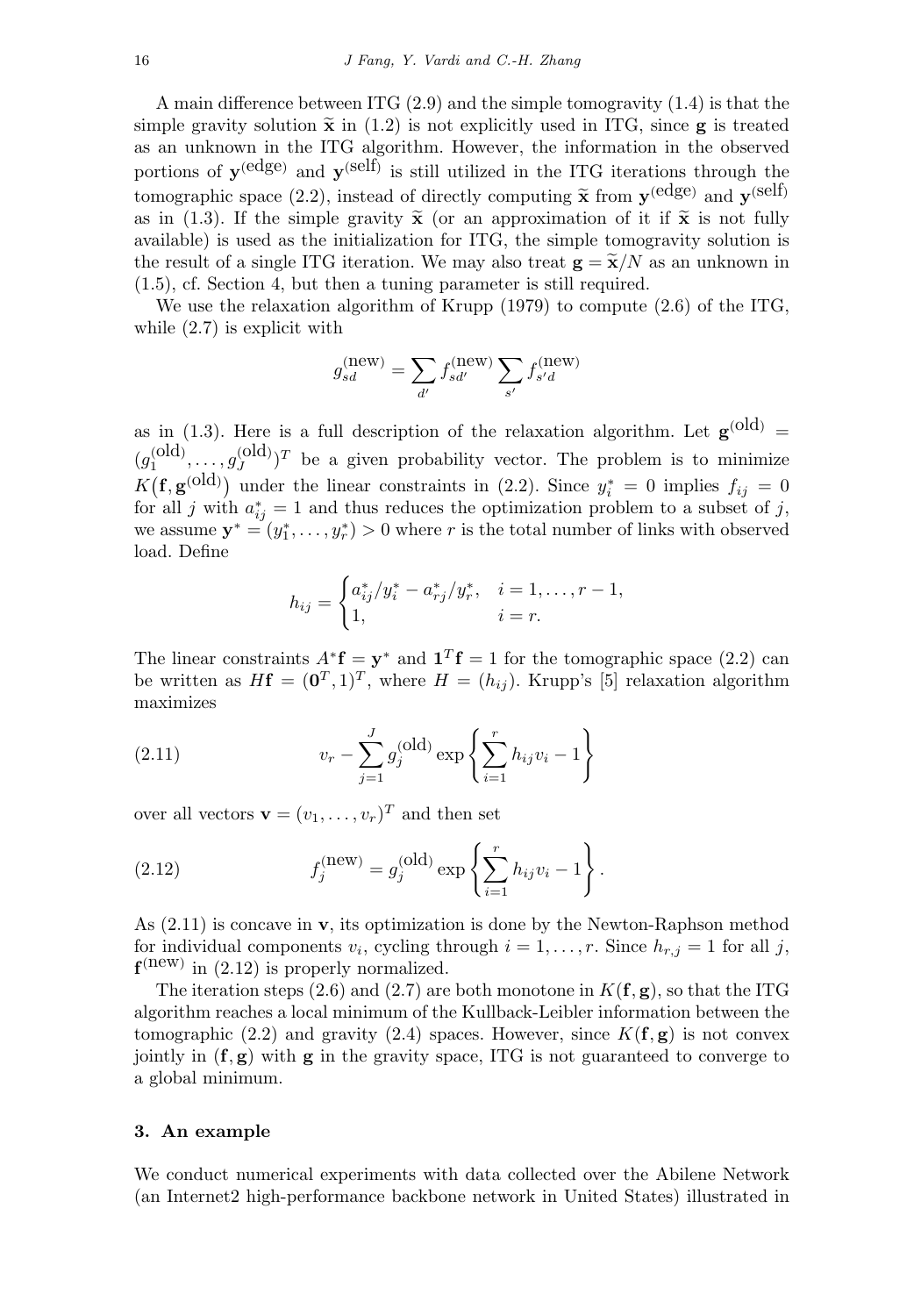A main difference between ITG (2.9) and the simple tomogravity (1.4) is that the simple gravity solution  $\tilde{\mathbf{x}}$  in (1.2) is not explicitly used in ITG, since **g** is treated as an unknown in the ITG algorithm. However, the information in the observed portions of **y**(edge) and **y**(self) is still utilized in the ITG iterations through the tomographic space (2.2), instead of directly computing  $\tilde{\mathbf{x}}$  from  $\mathbf{y}^{(edge)}$  and  $\tilde{\mathbf{y}}^{(self)}$ as in (1.3). If the simple gravity  $\tilde{\mathbf{x}}$  (or an approximation of it if  $\tilde{\mathbf{x}}$  is not fully available) is used as the initialization for ITG, the simple tomogravity solution is the result of a single ITG iteration. We may also treat  $g = \tilde{x}/N$  as an unknown in (1.5), cf. Section 4, but then a tuning parameter is still required.

We use the relaxation algorithm of Krupp  $(1979)$  to compute  $(2.6)$  of the ITG, while (2.7) is explicit with

$$
g_{sd}^{\rm (new)}=\sum_{d'}f_{sd'}^{\rm (new)}\sum_{s'}f_{s'd}^{\rm (new)}
$$

as in (1.3). Here is a full description of the relaxation algorithm. Let  $g^{(old)} =$  $(g_1^{\text{(old)}}, \ldots, g_J^{\text{(old)}})^T$  be a given probability vector. The problem is to minimize  $K(\mathbf{f}, \mathbf{g}^{(\text{old})})$  under the linear constraints in (2.2). Since  $y_i^* = 0$  implies  $f_{ij} = 0$ for all j with  $a_{ij}^* = 1$  and thus reduces the optimization problem to a subset of j, we assume  $y^* = (y_1^*, \ldots, y_r^*) > 0$  where r is the total number of links with observed load. Define

$$
h_{ij} = \begin{cases} a_{ij}^* / y_i^* - a_{rj}^* / y_r^*, & i = 1, \dots, r - 1, \\ 1, & i = r. \end{cases}
$$

The linear constraints  $A^*f = y^*$  and  $\mathbf{1}^Tf = 1$  for the tomographic space (2.2) can be written as  $H\mathbf{f} = (\mathbf{0}^T, 1)^T$ , where  $H = (h_{ij})$ . Krupp's [5] relaxation algorithm maximizes

(2.11) 
$$
v_r - \sum_{j=1}^{J} g_j^{(\text{old})} \exp\left\{\sum_{i=1}^{r} h_{ij} v_i - 1\right\}
$$

over all vectors  $\mathbf{v} = (v_1, \dots, v_r)^T$  and then set

(2.12) 
$$
f_j^{(\text{new})} = g_j^{(\text{old})} \exp \left\{ \sum_{i=1}^r h_{ij} v_i - 1 \right\}.
$$

As (2.11) is concave in **v**, its optimization is done by the Newton-Raphson method for individual components  $v_i$ , cycling through  $i = 1, \ldots, r$ . Since  $h_{r,j} = 1$  for all j,  $f^{(new)}$  in (2.12) is properly normalized.

The iteration steps (2.6) and (2.7) are both monotone in  $K(\mathbf{f}, \mathbf{g})$ , so that the ITG algorithm reaches a local minimum of the Kullback-Leibler information between the tomographic (2.2) and gravity (2.4) spaces. However, since  $K(f, g)$  is not convex jointly in  $(f, g)$  with  $g$  in the gravity space, ITG is not guaranteed to converge to a global minimum.

## **3. An example**

We conduct numerical experiments with data collected over the Abilene Network (an Internet2 high-performance backbone network in United States) illustrated in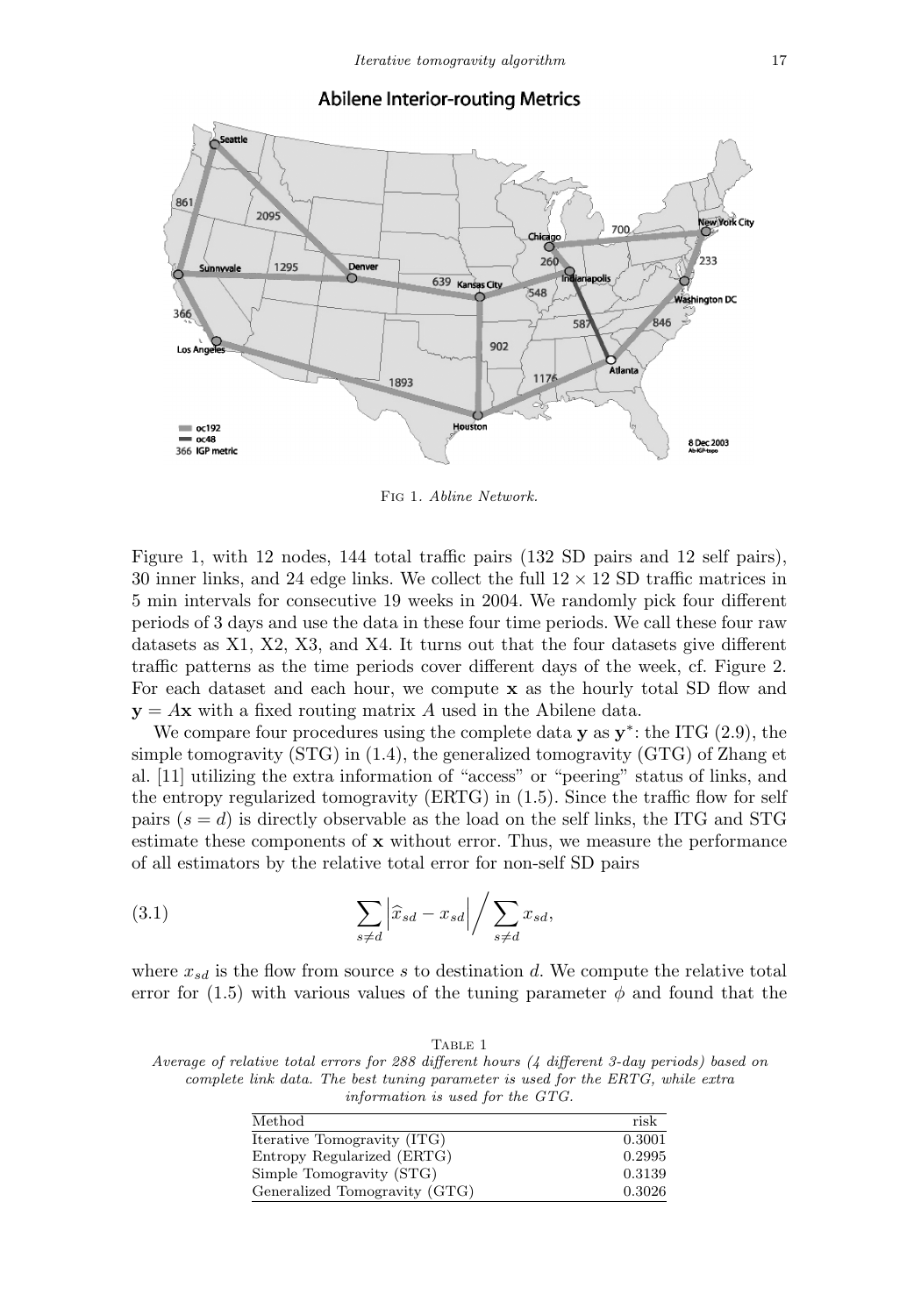

### **Abilene Interior-routing Metrics**

Fig 1. Abline Network.

Figure 1, with 12 nodes, 144 total traffic pairs (132 SD pairs and 12 self pairs), 30 inner links, and 24 edge links. We collect the full  $12 \times 12$  SD traffic matrices in 5 min intervals for consecutive 19 weeks in 2004. We randomly pick four different periods of 3 days and use the data in these four time periods. We call these four raw datasets as X1, X2, X3, and X4. It turns out that the four datasets give different traffic patterns as the time periods cover different days of the week, cf. Figure 2. For each dataset and each hour, we compute **x** as the hourly total SD flow and  $y = Ax$  with a fixed routing matrix A used in the Abilene data.

We compare four procedures using the complete data **y** as **y**∗: the ITG (2.9), the simple tomogravity (STG) in (1.4), the generalized tomogravity (GTG) of Zhang et al. [11] utilizing the extra information of "access" or "peering" status of links, and the entropy regularized tomogravity (ERTG) in (1.5). Since the traffic flow for self pairs  $(s = d)$  is directly observable as the load on the self links, the ITG and STG estimate these components of **x** without error. Thus, we measure the performance of all estimators by the relative total error for non-self SD pairs

(3.1) 
$$
\sum_{s \neq d} \left| \hat{x}_{sd} - x_{sd} \right| / \sum_{s \neq d} x_{sd},
$$

where  $x_{sd}$  is the flow from source s to destination d. We compute the relative total error for (1.5) with various values of the tuning parameter  $\phi$  and found that the

TABLE 1 Average of relative total errors for 288 different hours (4 different 3-day periods) based on complete link data. The best tuning parameter is used for the ERTG, while extra information is used for the GTG.

| Method                        | risk   |
|-------------------------------|--------|
| Iterative Tomogravity (ITG)   | 0.3001 |
| Entropy Regularized (ERTG)    | 0.2995 |
| Simple Tomogravity (STG)      | 0.3139 |
| Generalized Tomogravity (GTG) | 0.3026 |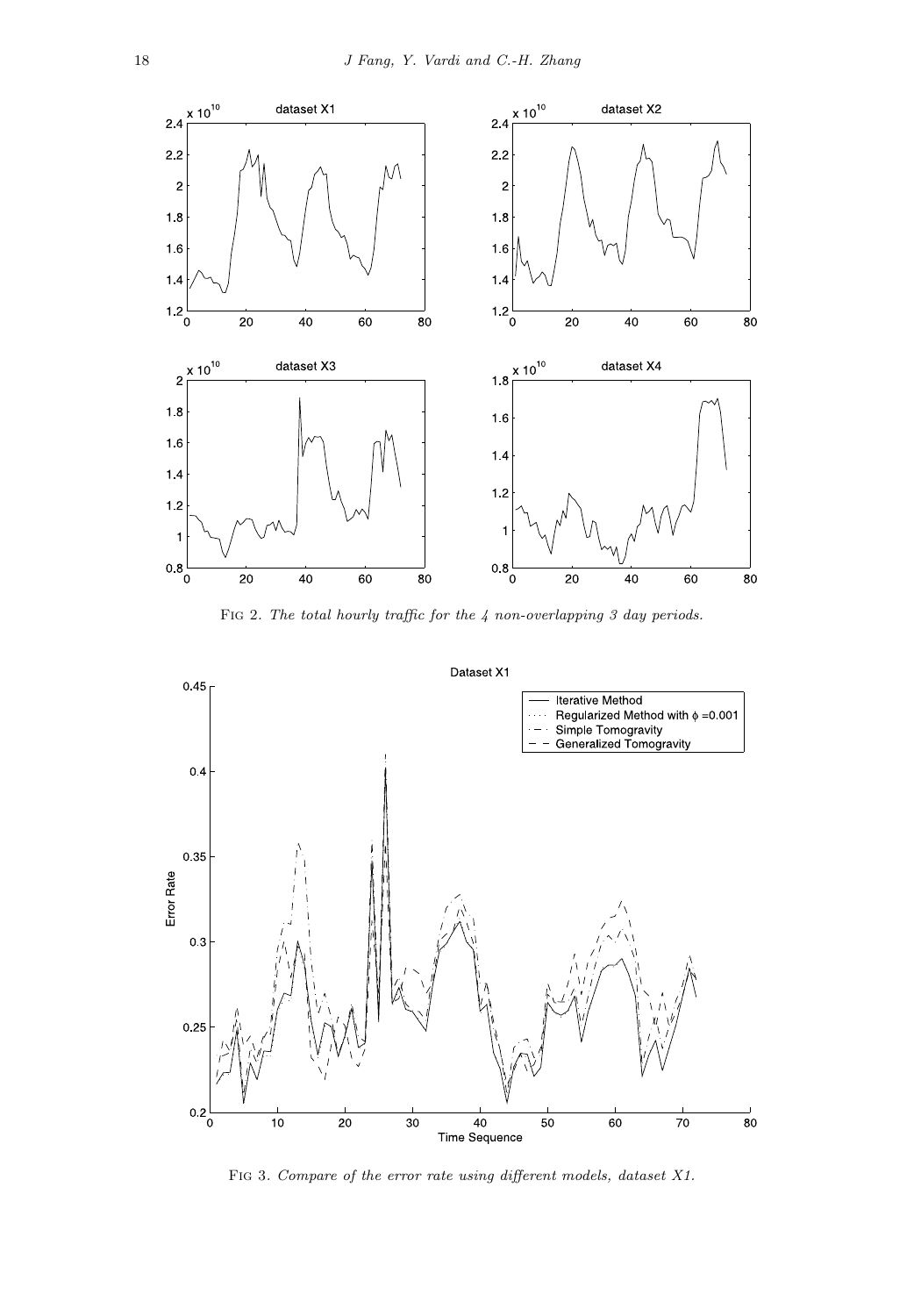

FIG 2. The total hourly traffic for the  $4$  non-overlapping 3 day periods.

Dataset X1



Fig 3. Compare of the error rate using different models, dataset X1.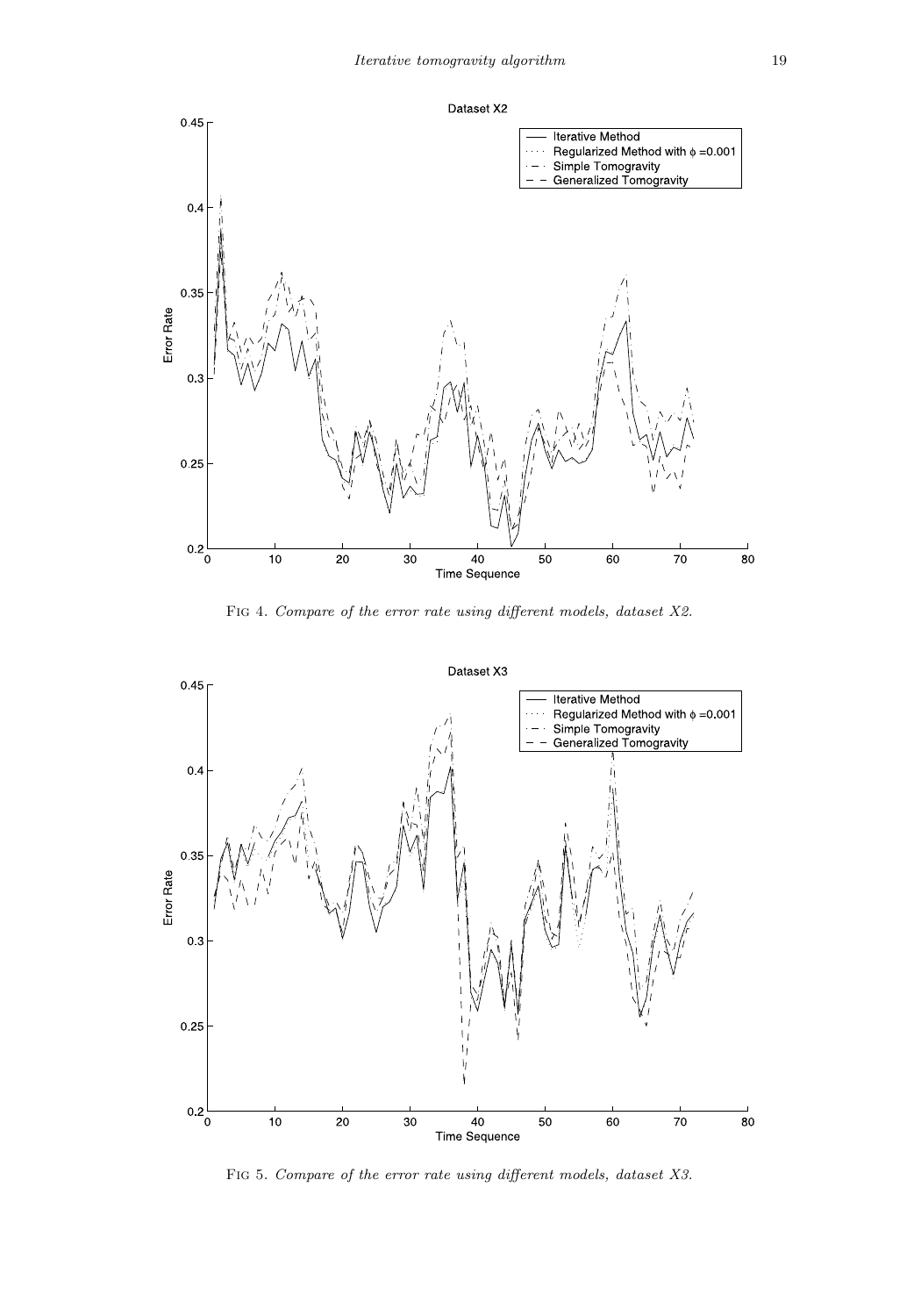

Fig 4. Compare of the error rate using different models, dataset X2.



Fig 5. Compare of the error rate using different models, dataset X3.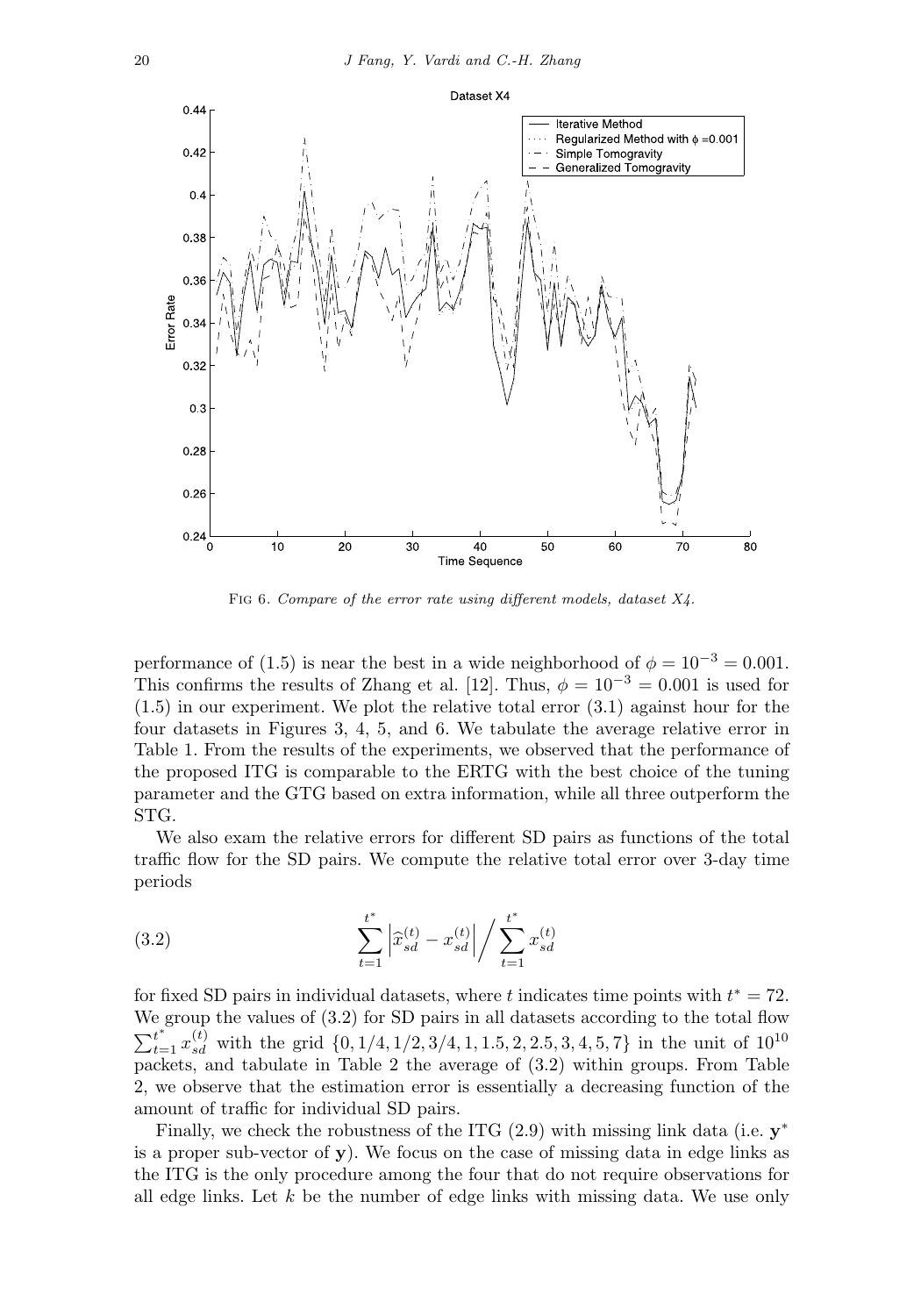

FIG 6. Compare of the error rate using different models, dataset  $X_4$ .

performance of (1.5) is near the best in a wide neighborhood of  $\phi = 10^{-3} = 0.001$ . This confirms the results of Zhang et al. [12]. Thus,  $\phi = 10^{-3} = 0.001$  is used for (1.5) in our experiment. We plot the relative total error (3.1) against hour for the four datasets in Figures 3, 4, 5, and 6. We tabulate the average relative error in Table 1. From the results of the experiments, we observed that the performance of the proposed ITG is comparable to the ERTG with the best choice of the tuning parameter and the GTG based on extra information, while all three outperform the STG.

We also exam the relative errors for different SD pairs as functions of the total traffic flow for the SD pairs. We compute the relative total error over 3-day time periods

(3.2) 
$$
\sum_{t=1}^{t^*} \left| \hat{x}_{sd}^{(t)} - x_{sd}^{(t)} \right| / \sum_{t=1}^{t^*} x_{sd}^{(t)}
$$

for fixed SD pairs in individual datasets, where t indicates time points with  $t^* = 72$ . We group the values of (3.2) for SD pairs in all datasets according to the total flow  $\sum_{t=1}^{t^*} x_{sd}^{(t)}$  with the grid  $\{0, 1/4, 1/2, 3/4, 1, 1.5, 2, 2.5, 3, 4, 5, 7\}$  in the unit of  $10^{10}$ packets, and tabulate in Table 2 the average of  $(3.2)$  within groups. From Table 2, we observe that the estimation error is essentially a decreasing function of the amount of traffic for individual SD pairs.

Finally, we check the robustness of the ITG (2.9) with missing link data (i.e. **y**<sup>∗</sup> is a proper sub-vector of **y**). We focus on the case of missing data in edge links as the ITG is the only procedure among the four that do not require observations for all edge links. Let  $k$  be the number of edge links with missing data. We use only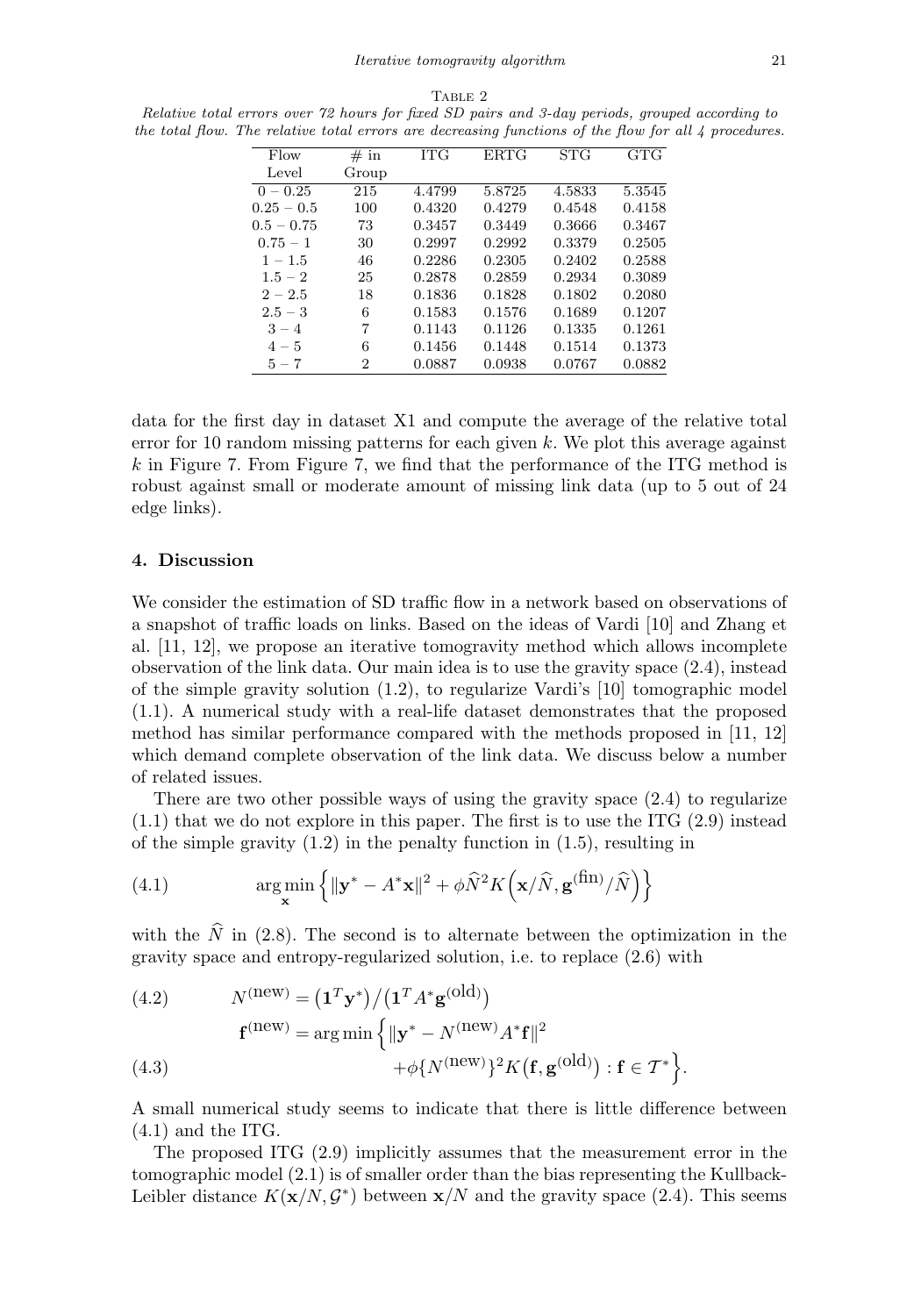| Flow         | $# \text{ in}$ | <b>ITG</b> | <b>ERTG</b> | <b>STG</b> | G <sub>T</sub> G |
|--------------|----------------|------------|-------------|------------|------------------|
| Level        | Group          |            |             |            |                  |
| $0 - 0.25$   | 215            | 4.4799     | 5.8725      | 4.5833     | 5.3545           |
| $0.25 - 0.5$ | 100            | 0.4320     | 0.4279      | 0.4548     | 0.4158           |
| $0.5 - 0.75$ | 73             | 0.3457     | 0.3449      | 0.3666     | 0.3467           |
| $0.75 - 1$   | 30             | 0.2997     | 0.2992      | 0.3379     | 0.2505           |
| $1 - 1.5$    | 46             | 0.2286     | 0.2305      | 0.2402     | 0.2588           |
| $1.5 - 2$    | 25             | 0.2878     | 0.2859      | 0.2934     | 0.3089           |
| $2 - 2.5$    | 18             | 0.1836     | 0.1828      | 0.1802     | 0.2080           |
| $2.5 - 3$    | 6              | 0.1583     | 0.1576      | 0.1689     | 0.1207           |
| $3 - 4$      | 7              | 0.1143     | 0.1126      | 0.1335     | 0.1261           |
| $4 - 5$      | 6              | 0.1456     | 0.1448      | 0.1514     | 0.1373           |
| $5 - 7$      | 2              | 0.0887     | 0.0938      | 0.0767     | 0.0882           |

TABLE 2 Relative total errors over 72 hours for fixed SD pairs and 3-day periods, grouped according to the total flow. The relative total errors are decreasing functions of the flow for all 4 procedures.

data for the first day in dataset X1 and compute the average of the relative total error for 10 random missing patterns for each given  $k$ . We plot this average against  $k$  in Figure 7. From Figure 7, we find that the performance of the ITG method is robust against small or moderate amount of missing link data (up to 5 out of 24 edge links).

#### **4. Discussion**

We consider the estimation of SD traffic flow in a network based on observations of a snapshot of traffic loads on links. Based on the ideas of Vardi [10] and Zhang et al. [11, 12], we propose an iterative tomogravity method which allows incomplete observation of the link data. Our main idea is to use the gravity space (2.4), instead of the simple gravity solution (1.2), to regularize Vardi's [10] tomographic model (1.1). A numerical study with a real-life dataset demonstrates that the proposed method has similar performance compared with the methods proposed in [11, 12] which demand complete observation of the link data. We discuss below a number of related issues.

There are two other possible ways of using the gravity space (2.4) to regularize  $(1.1)$  that we do not explore in this paper. The first is to use the ITG  $(2.9)$  instead of the simple gravity  $(1.2)$  in the penalty function in  $(1.5)$ , resulting in

(4.1) 
$$
\argmin_{\mathbf{x}} \left\{ \|\mathbf{y}^* - A^*\mathbf{x}\|^2 + \phi \widehat{N}^2 K\left(\mathbf{x}/\widehat{N}, \mathbf{g}^{(\text{fin})}/\widehat{N}\right) \right\}
$$

with the  $\dot{N}$  in (2.8). The second is to alternate between the optimization in the gravity space and entropy-regularized solution, i.e. to replace (2.6) with

(4.2) 
$$
N^{(\text{new})} = (\mathbf{1}^T \mathbf{y}^*) / (\mathbf{1}^T A^* \mathbf{g}^{(\text{old})})
$$

$$
\mathbf{f}^{(\text{new})} = \arg \min \left\{ ||\mathbf{y}^* - N^{(\text{new})} A^* \mathbf{f}||^2 + \phi \{ N^{(\text{new})} \}^2 K (\mathbf{f}, \mathbf{g}^{(\text{old})}): \mathbf{f} \in \mathcal{T}^* \right\}.
$$

A small numerical study seems to indicate that there is little difference between  $(4.1)$  and the ITG.

The proposed ITG (2.9) implicitly assumes that the measurement error in the tomographic model (2.1) is of smaller order than the bias representing the Kullback-Leibler distance  $K(\mathbf{x}/N, \mathcal{G}^*)$  between  $\mathbf{x}/N$  and the gravity space (2.4). This seems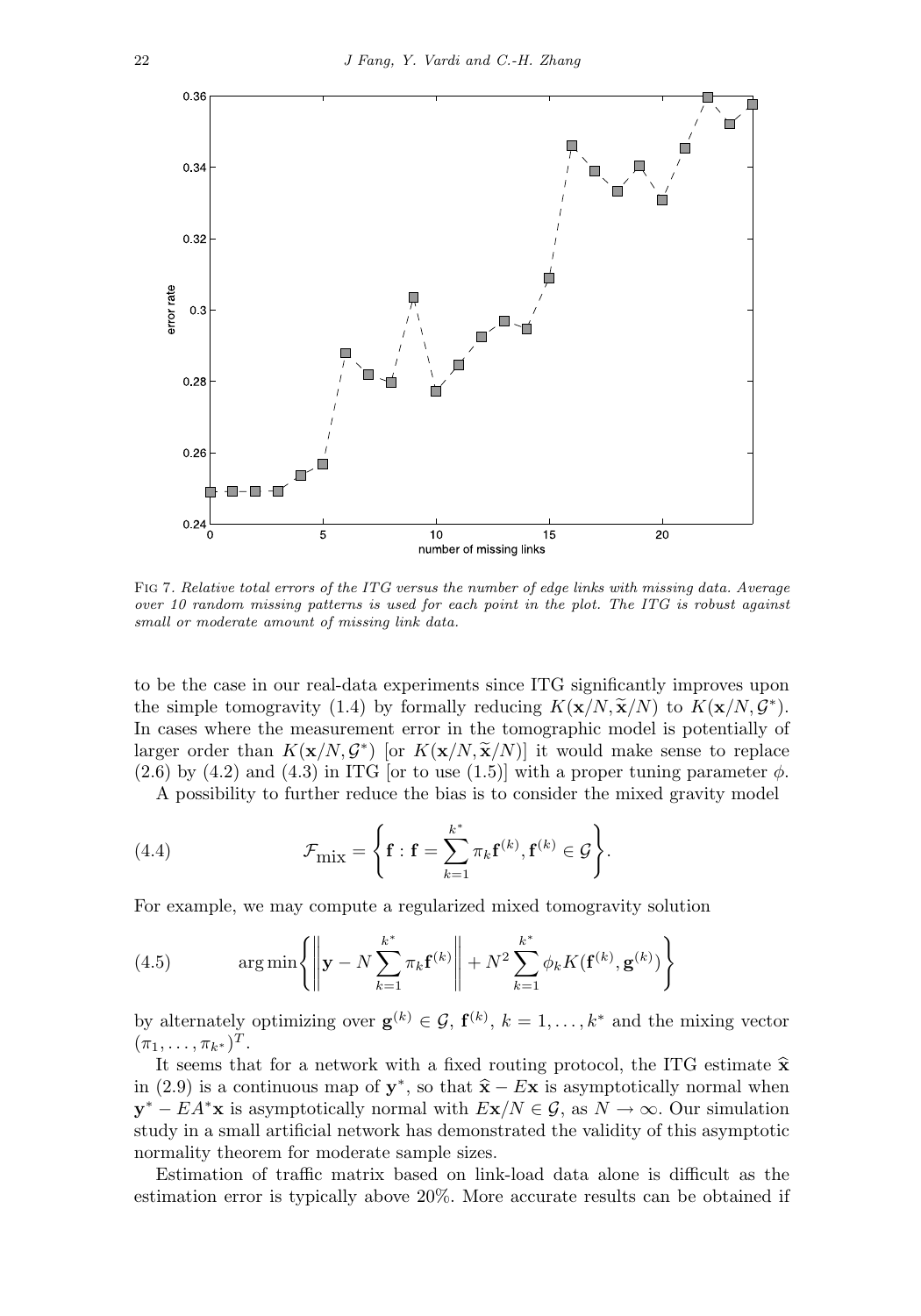

Fig 7. Relative total errors of the ITG versus the number of edge links with missing data. Average over 10 random missing patterns is used for each point in the plot. The ITG is robust against small or moderate amount of missing link data.

to be the case in our real-data experiments since ITG significantly improves upon the simple tomogravity (1.4) by formally reducing  $K(\mathbf{x}/N, \tilde{\mathbf{x}}/N)$  to  $K(\mathbf{x}/N, \mathcal{G}^*)$ . In cases where the measurement error in the tomographic model is potentially of larger order than  $K(\mathbf{x}/N, \mathcal{G}^*)$  [or  $K(\mathbf{x}/N, \widetilde{\mathbf{x}}/N)$ ] it would make sense to replace  $(2.6)$  by  $(4.2)$  and  $(4.3)$  in ITG [or to use  $(1.5)$ ] with a proper tuning parameter  $\phi$ .

A possibility to further reduce the bias is to consider the mixed gravity model

(4.4) 
$$
\mathcal{F}_{\text{mix}} = \left\{ \mathbf{f} : \mathbf{f} = \sum_{k=1}^{k^*} \pi_k \mathbf{f}^{(k)}, \mathbf{f}^{(k)} \in \mathcal{G} \right\}.
$$

For example, we may compute a regularized mixed tomogravity solution

(4.5) 
$$
\arg \min \left\{ \left\| \mathbf{y} - N \sum_{k=1}^{k^*} \pi_k \mathbf{f}^{(k)} \right\| + N^2 \sum_{k=1}^{k^*} \phi_k K(\mathbf{f}^{(k)}, \mathbf{g}^{(k)}) \right\}
$$

by alternately optimizing over  $\mathbf{g}^{(k)} \in \mathcal{G}$ ,  $\mathbf{f}^{(k)}$ ,  $k = 1, \ldots, k^*$  and the mixing vector  $(\pi_1,\ldots,\pi_{k^*})^T$ .

It seems that for a network with a fixed routing protocol, the ITG estimate  $\hat{\mathbf{x}}$ in (2.9) is a continuous map of  $y^*$ , so that  $\hat{x} - Ex$  is asymptotically normal when **y**<sup>∗</sup> − EA<sup>∗</sup>**x** is asymptotically normal with  $E$ **x**/N  $\in$  G, as  $N \to \infty$ . Our simulation study in a small artificial network has demonstrated the validity of this asymptotic normality theorem for moderate sample sizes.

Estimation of traffic matrix based on link-load data alone is difficult as the estimation error is typically above 20%. More accurate results can be obtained if